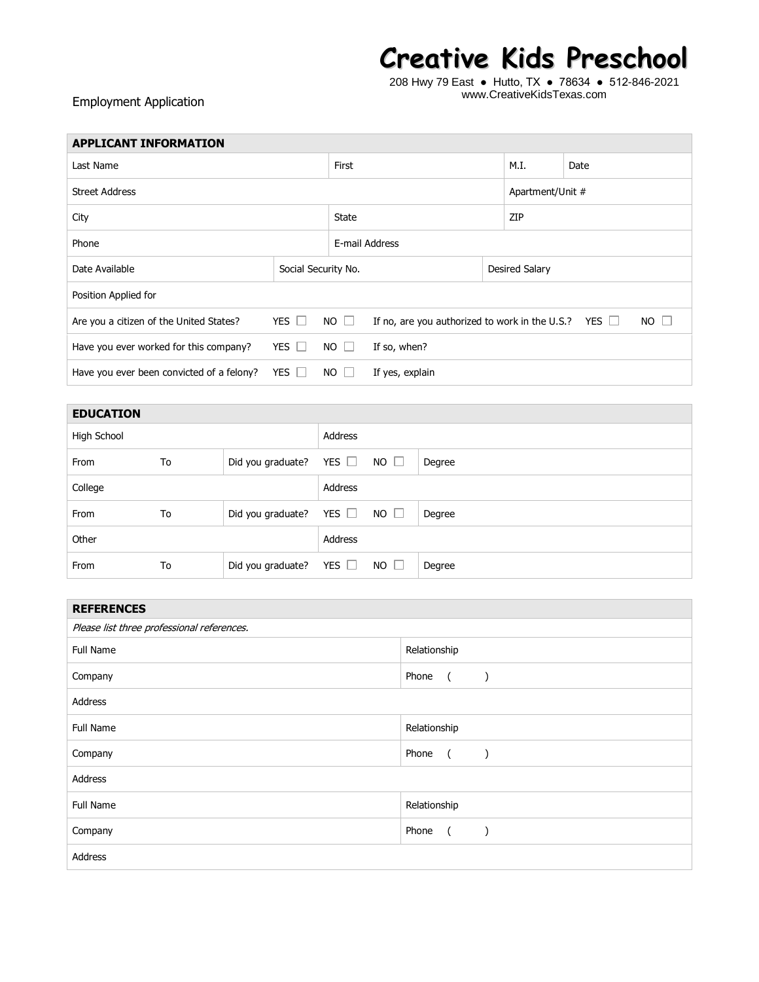## **Creative Kids Preschool**

208 Hwy 79 East ● Hutto, TX ● 78634 ● 512-846-2021 www.CreativeKidsTexas.com

## Employment Application

| <b>APPLICANT INFORMATION</b>              |                                                                                        |                             |                 |  |                       |                  |           |  |
|-------------------------------------------|----------------------------------------------------------------------------------------|-----------------------------|-----------------|--|-----------------------|------------------|-----------|--|
| Last Name                                 |                                                                                        |                             | First           |  |                       | Date             |           |  |
| <b>Street Address</b>                     |                                                                                        |                             |                 |  |                       | Apartment/Unit # |           |  |
| City                                      |                                                                                        |                             | State           |  |                       | ZIP              |           |  |
| Phone                                     |                                                                                        |                             | E-mail Address  |  |                       |                  |           |  |
| Date Available                            | Social Security No.                                                                    |                             |                 |  | <b>Desired Salary</b> |                  |           |  |
| Position Applied for                      |                                                                                        |                             |                 |  |                       |                  |           |  |
| Are you a citizen of the United States?   | YES $\Box$<br>$NO$ $\Box$<br>If no, are you authorized to work in the U.S.? YES $\Box$ |                             |                 |  |                       |                  | $NO \Box$ |  |
| Have you ever worked for this company?    | YES $\Box$                                                                             | $NO$ $\Box$<br>If so, when? |                 |  |                       |                  |           |  |
| Have you ever been convicted of a felony? | YES I                                                                                  | $NO \perp$                  | If yes, explain |  |                       |                  |           |  |

| <b>EDUCATION</b> |    |                   |            |             |        |
|------------------|----|-------------------|------------|-------------|--------|
| High School      |    |                   | Address    |             |        |
| From             | To | Did you graduate? | YES $\Box$ | $NO$ $\Box$ | Degree |
| College          |    |                   | Address    |             |        |
| From             | To | Did you graduate? | YES $\Box$ | $NO$ $\Box$ | Degree |
| Other            |    |                   | Address    |             |        |
| From             | To | Did you graduate? | YES $\Box$ | $NO \Box$   | Degree |

| <b>REFERENCES</b>                          |                                                     |  |  |  |
|--------------------------------------------|-----------------------------------------------------|--|--|--|
| Please list three professional references. |                                                     |  |  |  |
| Full Name                                  | Relationship                                        |  |  |  |
| Company                                    | Phone<br>$\overline{a}$<br>$\rightarrow$            |  |  |  |
| Address                                    |                                                     |  |  |  |
| Full Name                                  | Relationship                                        |  |  |  |
| Company                                    | Phone<br>$\overline{a}$<br>$\overline{\phantom{a}}$ |  |  |  |
| Address                                    |                                                     |  |  |  |
| Full Name                                  | Relationship                                        |  |  |  |
| Company                                    | Phone<br>$\overline{a}$                             |  |  |  |
| Address                                    |                                                     |  |  |  |